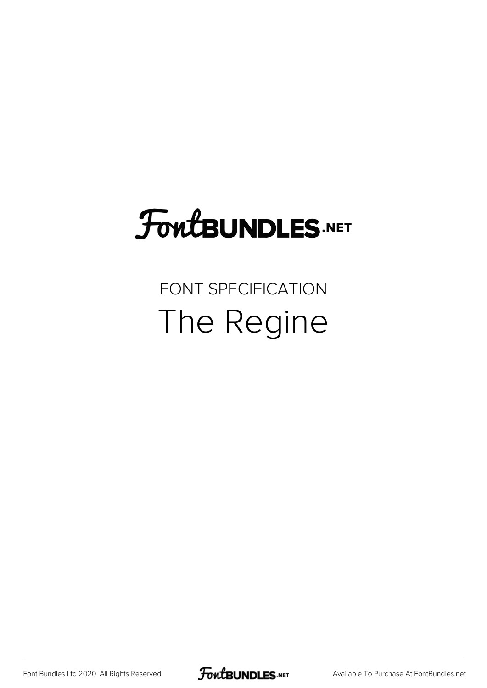## **FoutBUNDLES.NET**

## FONT SPECIFICATION The Regine

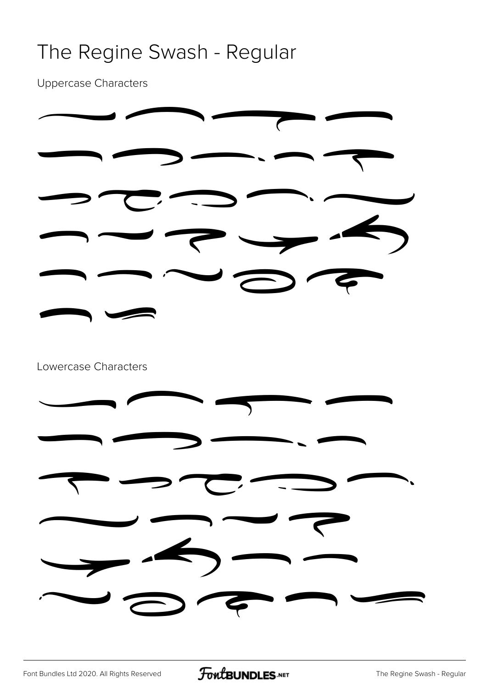#### The Regine Swash - Regular

Uppercase Characters

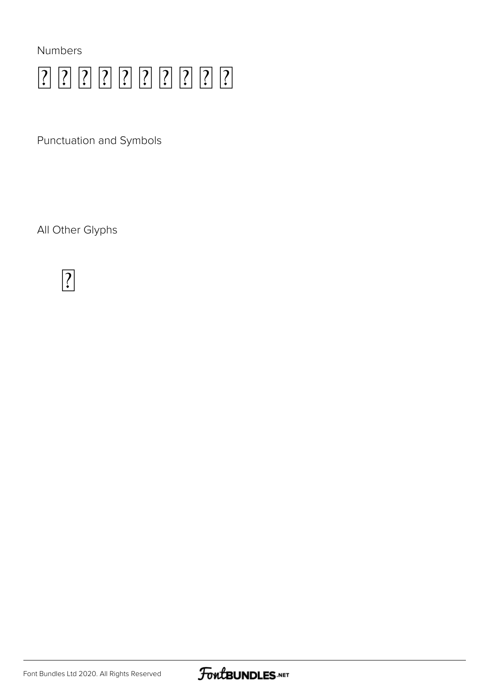

Punctuation and Symbols

All Other Glyphs



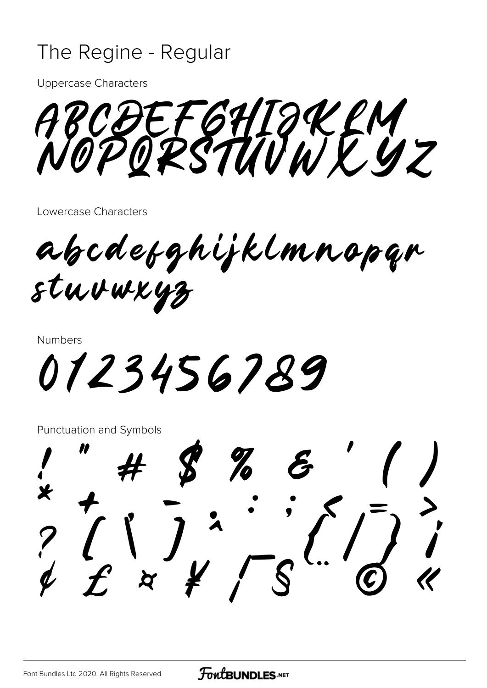#### The Regine - Regular

**Uppercase Characters** 

JEFGHIJKLY<br>ORSTUVWEYZ

Lowercase Characters

abcdetghijklmnopan stuvwxyz

**Numbers** 

0123456789

**Punctuation and Symbols**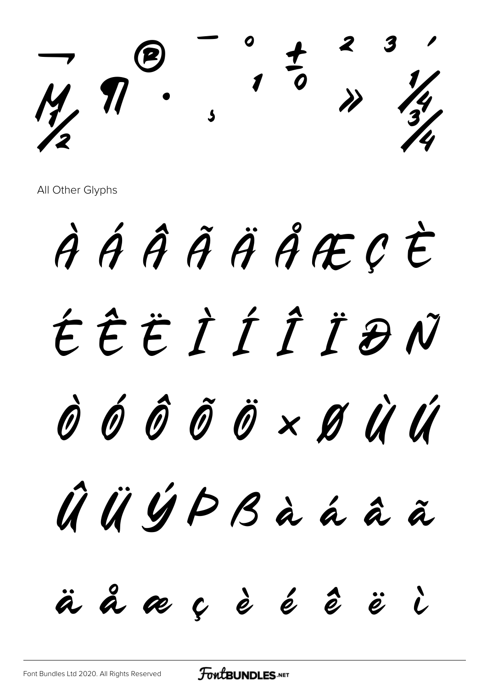$\rightarrow$   $\theta$   $\rightarrow$   $\frac{1}{2}$   $\rightarrow$   $\frac{1}{2}$  $M \cdot \frac{1}{2}$  $\sqrt{2}$ 

All Other Glyphs

À Á Â Ã Ä Å Æ Ç È É Ê Ë Ì Í Î Ï Ð Ñ Ò Ó Ô Õ Ö × Ø Ù Ú Û Ü Ý Þ ß à á â ã ä å æ ç è é ê ë ì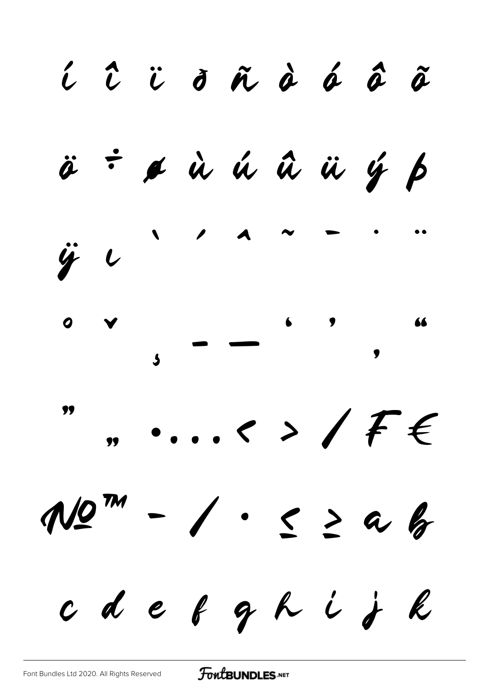$\hat{\iota}$   $\hat{\iota}$   $\ddot{\sigma}$   $\tilde{\sigma}$   $\dot{\tilde{\sigma}}$   $\hat{\sigma}$   $\tilde{\sigma}$   $\tilde{\sigma}$ & ù ú û ü ý þ  $\ddot{\rho}$  ÷  $\ddot{y}$   $\iota$  $\frac{1}{2}$  $, \ldots$  $M2^{m}$  $-$  /  $\cdot$   $\leq$  2 a b  $\begin{array}{cccccccccccccc} c & d & e & e & g & h & i & j & k \end{array}$ 

FoutBUNDLES.NET